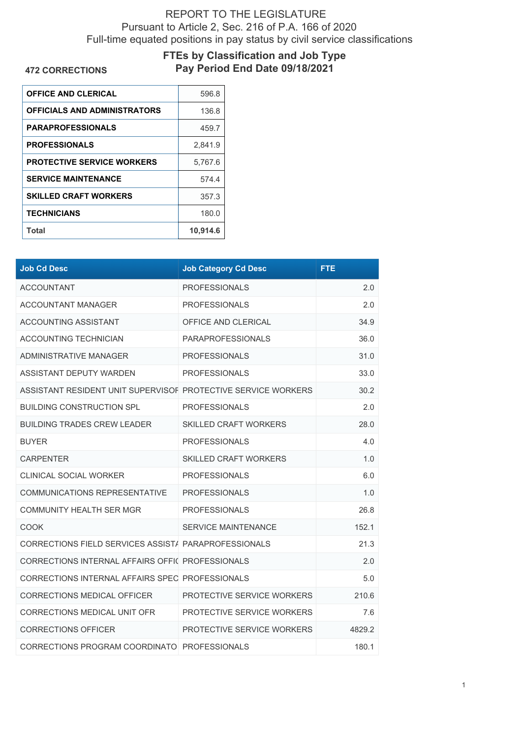## REPORT TO THE LEGISLATURE Pursuant to Article 2, Sec. 216 of P.A. 166 of 2020 Full-time equated positions in pay status by civil service classifications

## **FTEs by Classification and Job Type**

**472 CORRECTIONS**

## **Pay Period End Date 09/18/2021**

| 596.8    |
|----------|
| 136.8    |
| 459.7    |
| 2,841.9  |
| 5,767.6  |
| 574.4    |
| 357.3    |
| 180.0    |
| 10,914.6 |
|          |

| <b>Job Cd Desc</b>                                            | <b>Job Category Cd Desc</b>  | <b>FTE</b> |
|---------------------------------------------------------------|------------------------------|------------|
| <b>ACCOUNTANT</b>                                             | <b>PROFESSIONALS</b>         | 2.0        |
| <b>ACCOUNTANT MANAGER</b>                                     | <b>PROFESSIONALS</b>         | 2.0        |
| ACCOUNTING ASSISTANT                                          | OFFICE AND CLERICAL          | 34.9       |
| <b>ACCOUNTING TECHNICIAN</b>                                  | <b>PARAPROFESSIONALS</b>     | 36.0       |
| ADMINISTRATIVE MANAGER                                        | <b>PROFESSIONALS</b>         | 31.0       |
| ASSISTANT DEPUTY WARDEN                                       | <b>PROFESSIONALS</b>         | 33.0       |
| ASSISTANT RESIDENT UNIT SUPERVISOF PROTECTIVE SERVICE WORKERS |                              | 30.2       |
| <b>BUILDING CONSTRUCTION SPL</b>                              | <b>PROFESSIONALS</b>         | 2.0        |
| <b>BUILDING TRADES CREW LEADER</b>                            | <b>SKILLED CRAFT WORKERS</b> | 28.0       |
| <b>BUYER</b>                                                  | <b>PROFESSIONALS</b>         | 4.0        |
| <b>CARPENTER</b>                                              | <b>SKILLED CRAFT WORKERS</b> | 1.0        |
| <b>CLINICAL SOCIAL WORKER</b>                                 | <b>PROFESSIONALS</b>         | 6.0        |
| COMMUNICATIONS REPRESENTATIVE                                 | <b>PROFESSIONALS</b>         | 1.0        |
| <b>COMMUNITY HEALTH SER MGR</b>                               | <b>PROFESSIONALS</b>         | 26.8       |
| COOK                                                          | <b>SERVICE MAINTENANCE</b>   | 152.1      |
| CORRECTIONS FIELD SERVICES ASSIST/ PARAPROFESSIONALS          |                              | 21.3       |
| CORRECTIONS INTERNAL AFFAIRS OFFIC PROFESSIONALS              |                              | 2.0        |
| CORRECTIONS INTERNAL AFFAIRS SPEC PROFESSIONALS               |                              | 5.0        |
| CORRECTIONS MEDICAL OFFICER                                   | PROTECTIVE SERVICE WORKERS   | 210.6      |
| CORRECTIONS MEDICAL UNIT OFR                                  | PROTECTIVE SERVICE WORKERS   | 7.6        |
| <b>CORRECTIONS OFFICER</b>                                    | PROTECTIVE SERVICE WORKERS   | 4829.2     |
| CORRECTIONS PROGRAM COORDINATO PROFESSIONALS                  |                              | 180.1      |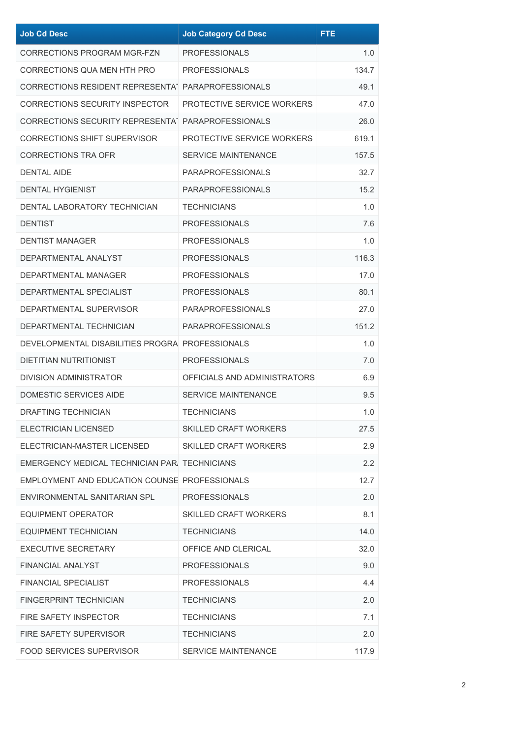| <b>Job Cd Desc</b>                                 | <b>Job Category Cd Desc</b>  | <b>FTE</b> |
|----------------------------------------------------|------------------------------|------------|
| <b>CORRECTIONS PROGRAM MGR-FZN</b>                 | <b>PROFESSIONALS</b>         | 1.0        |
| CORRECTIONS QUA MEN HTH PRO                        | <b>PROFESSIONALS</b>         | 134.7      |
| CORRECTIONS RESIDENT REPRESENTAT PARAPROFESSIONALS |                              | 49.1       |
| <b>CORRECTIONS SECURITY INSPECTOR</b>              | PROTECTIVE SERVICE WORKERS   | 47.0       |
| CORRECTIONS SECURITY REPRESENTAT PARAPROFESSIONALS |                              | 26.0       |
| <b>CORRECTIONS SHIFT SUPERVISOR</b>                | PROTECTIVE SERVICE WORKERS   | 619.1      |
| <b>CORRECTIONS TRA OFR</b>                         | <b>SERVICE MAINTENANCE</b>   | 157.5      |
| <b>DENTAL AIDE</b>                                 | <b>PARAPROFESSIONALS</b>     | 32.7       |
| <b>DENTAL HYGIENIST</b>                            | <b>PARAPROFESSIONALS</b>     | 15.2       |
| DENTAL LABORATORY TECHNICIAN                       | <b>TECHNICIANS</b>           | 1.0        |
| <b>DENTIST</b>                                     | <b>PROFESSIONALS</b>         | 7.6        |
| <b>DENTIST MANAGER</b>                             | <b>PROFESSIONALS</b>         | 1.0        |
| DEPARTMENTAL ANALYST                               | <b>PROFESSIONALS</b>         | 116.3      |
| DEPARTMENTAL MANAGER                               | <b>PROFESSIONALS</b>         | 17.0       |
| DEPARTMENTAL SPECIALIST                            | <b>PROFESSIONALS</b>         | 80.1       |
| DEPARTMENTAL SUPERVISOR                            | <b>PARAPROFESSIONALS</b>     | 27.0       |
| DEPARTMENTAL TECHNICIAN                            | <b>PARAPROFESSIONALS</b>     | 151.2      |
| DEVELOPMENTAL DISABILITIES PROGRA PROFESSIONALS    |                              | 1.0        |
| <b>DIETITIAN NUTRITIONIST</b>                      | <b>PROFESSIONALS</b>         | 7.0        |
| <b>DIVISION ADMINISTRATOR</b>                      | OFFICIALS AND ADMINISTRATORS | 6.9        |
| <b>DOMESTIC SERVICES AIDE</b>                      | <b>SERVICE MAINTENANCE</b>   | 9.5        |
| <b>DRAFTING TECHNICIAN</b>                         | <b>TECHNICIANS</b>           | 1.0        |
| ELECTRICIAN LICENSED                               | <b>SKILLED CRAFT WORKERS</b> | 27.5       |
| ELECTRICIAN-MASTER LICENSED                        | <b>SKILLED CRAFT WORKERS</b> | 2.9        |
| EMERGENCY MEDICAL TECHNICIAN PAR. TECHNICIANS      |                              | 2.2        |
| EMPLOYMENT AND EDUCATION COUNSE PROFESSIONALS      |                              | 12.7       |
| ENVIRONMENTAL SANITARIAN SPL                       | <b>PROFESSIONALS</b>         | 2.0        |
| EQUIPMENT OPERATOR                                 | <b>SKILLED CRAFT WORKERS</b> | 8.1        |
| <b>EQUIPMENT TECHNICIAN</b>                        | <b>TECHNICIANS</b>           | 14.0       |
| <b>EXECUTIVE SECRETARY</b>                         | OFFICE AND CLERICAL          | 32.0       |
| <b>FINANCIAL ANALYST</b>                           | <b>PROFESSIONALS</b>         | 9.0        |
| <b>FINANCIAL SPECIALIST</b>                        | <b>PROFESSIONALS</b>         | 4.4        |
| <b>FINGERPRINT TECHNICIAN</b>                      | <b>TECHNICIANS</b>           | 2.0        |
| <b>FIRE SAFETY INSPECTOR</b>                       | <b>TECHNICIANS</b>           | 7.1        |
| FIRE SAFETY SUPERVISOR                             | <b>TECHNICIANS</b>           | 2.0        |
| FOOD SERVICES SUPERVISOR                           | <b>SERVICE MAINTENANCE</b>   | 117.9      |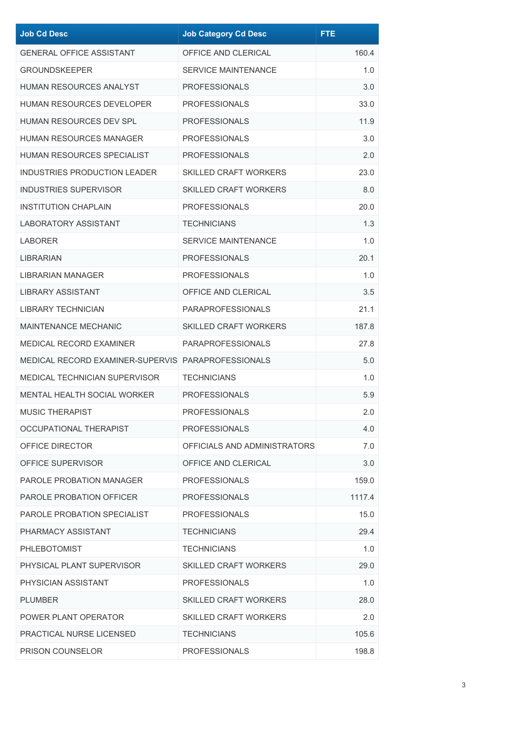| <b>Job Cd Desc</b>                                 | <b>Job Category Cd Desc</b>  | <b>FTE</b> |
|----------------------------------------------------|------------------------------|------------|
| <b>GENERAL OFFICE ASSISTANT</b>                    | OFFICE AND CLERICAL          | 160.4      |
| <b>GROUNDSKEEPER</b>                               | <b>SERVICE MAINTENANCE</b>   | 1.0        |
| <b>HUMAN RESOURCES ANALYST</b>                     | <b>PROFESSIONALS</b>         | 3.0        |
| <b>HUMAN RESOURCES DEVELOPER</b>                   | <b>PROFESSIONALS</b>         | 33.0       |
| <b>HUMAN RESOURCES DEV SPL</b>                     | <b>PROFESSIONALS</b>         | 11.9       |
| HUMAN RESOURCES MANAGER                            | <b>PROFESSIONALS</b>         | 3.0        |
| HUMAN RESOURCES SPECIALIST                         | <b>PROFESSIONALS</b>         | 2.0        |
| <b>INDUSTRIES PRODUCTION LEADER</b>                | <b>SKILLED CRAFT WORKERS</b> | 23.0       |
| <b>INDUSTRIES SUPERVISOR</b>                       | <b>SKILLED CRAFT WORKERS</b> | 8.0        |
| <b>INSTITUTION CHAPLAIN</b>                        | <b>PROFESSIONALS</b>         | 20.0       |
| <b>LABORATORY ASSISTANT</b>                        | <b>TECHNICIANS</b>           | 1.3        |
| LABORER                                            | <b>SERVICE MAINTENANCE</b>   | 1.0        |
| LIBRARIAN                                          | <b>PROFESSIONALS</b>         | 20.1       |
| <b>LIBRARIAN MANAGER</b>                           | <b>PROFESSIONALS</b>         | 1.0        |
| LIBRARY ASSISTANT                                  | OFFICE AND CLERICAL          | 3.5        |
| <b>LIBRARY TECHNICIAN</b>                          | <b>PARAPROFESSIONALS</b>     | 21.1       |
| <b>MAINTENANCE MECHANIC</b>                        | <b>SKILLED CRAFT WORKERS</b> | 187.8      |
| MEDICAL RECORD EXAMINER                            | <b>PARAPROFESSIONALS</b>     | 27.8       |
| MEDICAL RECORD EXAMINER-SUPERVIS PARAPROFESSIONALS |                              | 5.0        |
| <b>MEDICAL TECHNICIAN SUPERVISOR</b>               | <b>TECHNICIANS</b>           | 1.0        |
| <b>MENTAL HEALTH SOCIAL WORKER</b>                 | <b>PROFESSIONALS</b>         | 5.9        |
| <b>MUSIC THERAPIST</b>                             | <b>PROFESSIONALS</b>         | 2.0        |
| OCCUPATIONAL THERAPIST                             | <b>PROFESSIONALS</b>         | 4.0        |
| OFFICE DIRECTOR                                    | OFFICIALS AND ADMINISTRATORS | 7.0        |
| OFFICE SUPERVISOR                                  | OFFICE AND CLERICAL          | 3.0        |
| <b>PAROLE PROBATION MANAGER</b>                    | <b>PROFESSIONALS</b>         | 159.0      |
| PAROLE PROBATION OFFICER                           | <b>PROFESSIONALS</b>         | 1117.4     |
| PAROLE PROBATION SPECIALIST                        | <b>PROFESSIONALS</b>         | 15.0       |
| PHARMACY ASSISTANT                                 | <b>TECHNICIANS</b>           | 29.4       |
| <b>PHLEBOTOMIST</b>                                | <b>TECHNICIANS</b>           | 1.0        |
| PHYSICAL PLANT SUPERVISOR                          | <b>SKILLED CRAFT WORKERS</b> | 29.0       |
| PHYSICIAN ASSISTANT                                | <b>PROFESSIONALS</b>         | 1.0        |
| <b>PLUMBER</b>                                     | <b>SKILLED CRAFT WORKERS</b> | 28.0       |
| POWER PLANT OPERATOR                               | <b>SKILLED CRAFT WORKERS</b> | 2.0        |
| PRACTICAL NURSE LICENSED                           | <b>TECHNICIANS</b>           | 105.6      |
| PRISON COUNSELOR                                   | <b>PROFESSIONALS</b>         | 198.8      |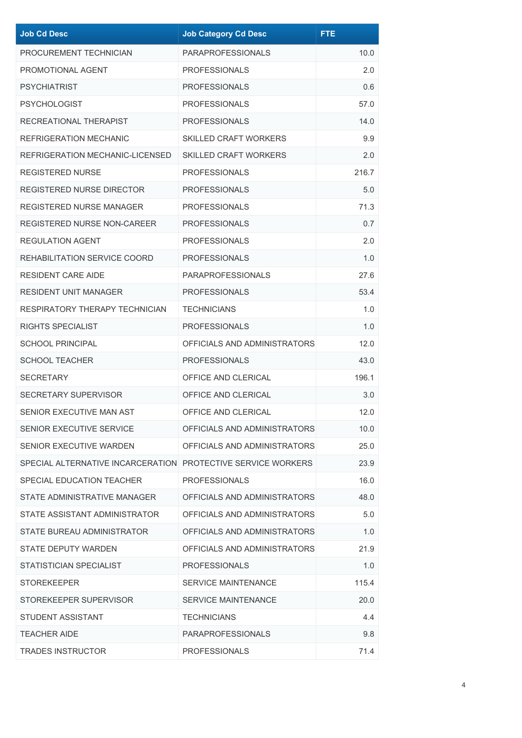| <b>Job Cd Desc</b>                                           | <b>Job Category Cd Desc</b>  | <b>FTE</b> |
|--------------------------------------------------------------|------------------------------|------------|
| PROCUREMENT TECHNICIAN                                       | <b>PARAPROFESSIONALS</b>     | 10.0       |
| PROMOTIONAL AGENT                                            | <b>PROFESSIONALS</b>         | 2.0        |
| <b>PSYCHIATRIST</b>                                          | <b>PROFESSIONALS</b>         | 0.6        |
| <b>PSYCHOLOGIST</b>                                          | <b>PROFESSIONALS</b>         | 57.0       |
| RECREATIONAL THERAPIST                                       | <b>PROFESSIONALS</b>         | 14.0       |
| <b>REFRIGERATION MECHANIC</b>                                | <b>SKILLED CRAFT WORKERS</b> | 9.9        |
| REFRIGERATION MECHANIC-LICENSED                              | <b>SKILLED CRAFT WORKERS</b> | 2.0        |
| <b>REGISTERED NURSE</b>                                      | <b>PROFESSIONALS</b>         | 216.7      |
| <b>REGISTERED NURSE DIRECTOR</b>                             | <b>PROFESSIONALS</b>         | 5.0        |
| <b>REGISTERED NURSE MANAGER</b>                              | <b>PROFESSIONALS</b>         | 71.3       |
| <b>REGISTERED NURSE NON-CAREER</b>                           | <b>PROFESSIONALS</b>         | 0.7        |
| <b>REGULATION AGENT</b>                                      | <b>PROFESSIONALS</b>         | 2.0        |
| REHABILITATION SERVICE COORD                                 | <b>PROFESSIONALS</b>         | 1.0        |
| <b>RESIDENT CARE AIDE</b>                                    | <b>PARAPROFESSIONALS</b>     | 27.6       |
| <b>RESIDENT UNIT MANAGER</b>                                 | <b>PROFESSIONALS</b>         | 53.4       |
| RESPIRATORY THERAPY TECHNICIAN                               | <b>TECHNICIANS</b>           | 1.0        |
| RIGHTS SPECIALIST                                            | <b>PROFESSIONALS</b>         | 1.0        |
| <b>SCHOOL PRINCIPAL</b>                                      | OFFICIALS AND ADMINISTRATORS | 12.0       |
| <b>SCHOOL TEACHER</b>                                        | <b>PROFESSIONALS</b>         | 43.0       |
| <b>SECRETARY</b>                                             | OFFICE AND CLERICAL          | 196.1      |
| SECRETARY SUPERVISOR                                         | OFFICE AND CLERICAL          | 3.0        |
| SENIOR EXECUTIVE MAN AST                                     | OFFICE AND CLERICAL          | 12.0       |
| SENIOR EXECUTIVE SERVICE                                     | OFFICIALS AND ADMINISTRATORS | 10.0       |
| SENIOR EXECUTIVE WARDEN                                      | OFFICIALS AND ADMINISTRATORS | 25.0       |
| SPECIAL ALTERNATIVE INCARCERATION PROTECTIVE SERVICE WORKERS |                              | 23.9       |
| SPECIAL EDUCATION TEACHER                                    | <b>PROFESSIONALS</b>         | 16.0       |
| STATE ADMINISTRATIVE MANAGER                                 | OFFICIALS AND ADMINISTRATORS | 48.0       |
| STATE ASSISTANT ADMINISTRATOR                                | OFFICIALS AND ADMINISTRATORS | 5.0        |
| STATE BUREAU ADMINISTRATOR                                   | OFFICIALS AND ADMINISTRATORS | 1.0        |
| <b>STATE DEPUTY WARDEN</b>                                   | OFFICIALS AND ADMINISTRATORS | 21.9       |
| STATISTICIAN SPECIALIST                                      | <b>PROFESSIONALS</b>         | 1.0        |
| <b>STOREKEEPER</b>                                           | <b>SERVICE MAINTENANCE</b>   | 115.4      |
| STOREKEEPER SUPERVISOR                                       | SERVICE MAINTENANCE          | 20.0       |
| STUDENT ASSISTANT                                            | <b>TECHNICIANS</b>           | 4.4        |
| <b>TEACHER AIDE</b>                                          | <b>PARAPROFESSIONALS</b>     | 9.8        |
| <b>TRADES INSTRUCTOR</b>                                     | <b>PROFESSIONALS</b>         | 71.4       |